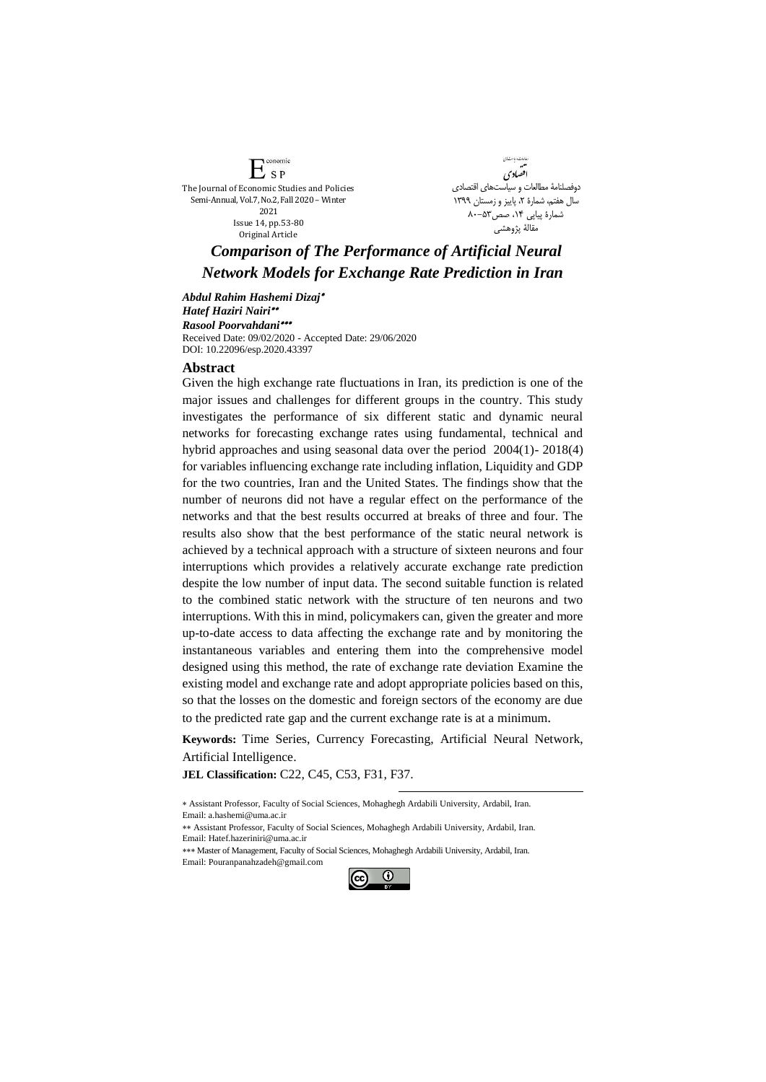onomic  $\mathbb{L}$  sp The Journal of Economic Studies and Policies Semi-Annual, Vol.7, No.2, Fall 2020 – Winter 2021 Issue 14, pp.53-80 Original Article



## *Comparison of The Performance of Artificial Neural Network Models for Exchange Rate Prediction in Iran*

*Abdul Rahim Hashemi Dizaj Hatef Haziri Nairi Rasool Poorvahdani* Received Date: 09/02/2020 - Accepted Date: 29/06/2020 [DOI: 10.22096/esp.2020.43397](https://dx.doi.org/10.22096/esp.2020.43397)

## **Abstract**

Given the high exchange rate fluctuations in Iran, its prediction is one of the major issues and challenges for different groups in the country. This study investigates the performance of six different static and dynamic neural networks for forecasting exchange rates using fundamental, technical and hybrid approaches and using seasonal data over the period 2004(1)- 2018(4) for variables influencing exchange rate including inflation, Liquidity and GDP for the two countries, Iran and the United States. The findings show that the number of neurons did not have a regular effect on the performance of the networks and that the best results occurred at breaks of three and four. The results also show that the best performance of the static neural network is achieved by a technical approach with a structure of sixteen neurons and four interruptions which provides a relatively accurate exchange rate prediction despite the low number of input data. The second suitable function is related to the combined static network with the structure of ten neurons and two interruptions. With this in mind, policymakers can, given the greater and more up-to-date access to data affecting the exchange rate and by monitoring the instantaneous variables and entering them into the comprehensive model designed using this method, the rate of exchange rate deviation Examine the existing model and exchange rate and adopt appropriate policies based on this, so that the losses on the domestic and foreign sectors of the economy are due to the predicted rate gap and the current exchange rate is at a minimum.

**Keywords:** Time Series, Currency Forecasting, Artificial Neural Network, Artificial Intelligence.

1

**JEL Classification:** C22, C45, C53, F31, F37.

 Assistant Professor, Faculty of Social Sciences, Mohaghegh Ardabili University, Ardabil, Iran. Email[: a.hashemi@uma.ac.ir](mailto:a.hashemi@uma.ac.ir)

 Assistant Professor, Faculty of Social Sciences, Mohaghegh Ardabili University, Ardabil, Iran. Email[: Hatef.hazeriniri@uma.ac.ir](mailto:Hatef.hazeriniri@uma.ac.ir) 

\*\*\* Master of Management, Faculty of Social Sciences, Mohaghegh Ardabili University, Ardabil, Iran. Email[: Pouranpanahzadeh@gmail.com](mailto:Pouranpanahzadeh@gmail.com) 

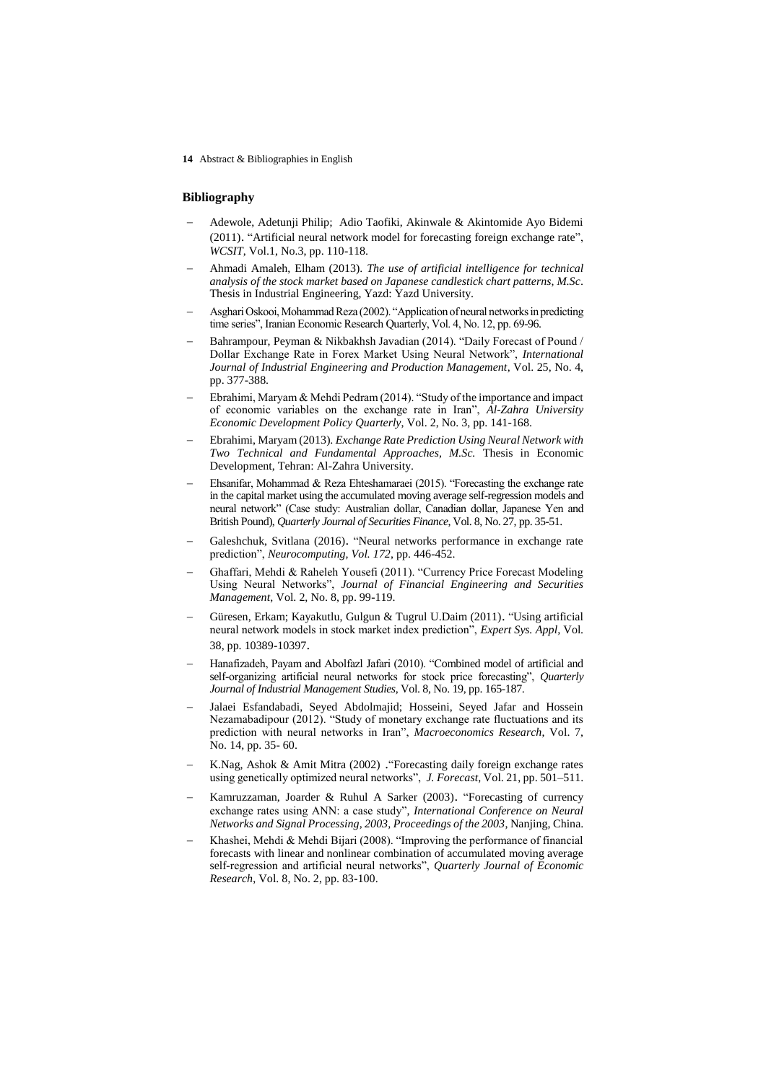**14** Abstract & Bibliographies in English

## **Bibliography**

- Adewole, Adetunji Philip; Adio Taofiki, Akinwale & Akintomide Ayo Bidemi (2011). "Artificial neural network model for forecasting foreign exchange rate", *WCSIT*, Vol.1, No.3, pp. 110-118.
- Ahmadi Amaleh, Elham (2013). *The use of artificial intelligence for technical analysis of the stock market based on Japanese candlestick chart patterns, M.Sc*. Thesis in Industrial Engineering, Yazd: Yazd University.
- Asghari Oskooi, Mohammad Reza (2002). "Application of neural networks in predicting time series", Iranian Economic Research Quarterly, Vol. 4, No. 12, pp. 69-96.
- Bahrampour, Peyman & Nikbakhsh Javadian (2014). "Daily Forecast of Pound / Dollar Exchange Rate in Forex Market Using Neural Network", *International Journal of Industrial Engineering and Production Management*, Vol. 25, No. 4, pp. 377-388.
- Ebrahimi, Maryam & Mehdi Pedram (2014). "Study of the importance and impact of economic variables on the exchange rate in Iran", *Al-Zahra University Economic Development Policy Quarterly*, Vol. 2, No. 3, pp. 141-168.
- Ebrahimi, Maryam (2013). *Exchange Rate Prediction Using Neural Network with Two Technical and Fundamental Approaches, M.Sc.* Thesis in Economic Development, Tehran: Al-Zahra University.
- Ehsanifar, Mohammad & Reza Ehteshamaraei (2015). "Forecasting the exchange rate in the capital market using the accumulated moving average self-regression models and neural network" (Case study: Australian dollar, Canadian dollar, Japanese Yen and British Pound), *Quarterly Journal of Securities Finance*, Vol. 8, No. 27, pp. 35-51.
- Galeshchuk, Svitlana (2016). "Neural networks performance in exchange rate prediction", *Neurocomputing, Vol. 172*, pp. 446-452.
- Ghaffari, Mehdi & Raheleh Yousefi (2011). "Currency Price Forecast Modeling Using Neural Networks", *Journal of Financial Engineering and Securities Management*, Vol. 2, No. 8, pp. 99-119.
- Güresen, Erkam; Kayakutlu, Gulgun & Tugrul U.Daim (2011). "Using artificial neural network models in stock market index prediction", *Expert Sys. Appl,* Vol. 38, pp. 10389-10397.
- Hanafizadeh, Payam and Abolfazl Jafari (2010). "Combined model of artificial and self-organizing artificial neural networks for stock price forecasting", *Quarterly Journal of Industrial Management Studies*, Vol. 8, No. 19, pp. 165-187.
- Jalaei Esfandabadi, Seyed Abdolmajid; Hosseini, Seyed Jafar and Hossein Nezamabadipour (2012). "Study of monetary exchange rate fluctuations and its prediction with neural networks in Iran", *Macroeconomics Research*, Vol. 7, No. 14, pp. 35- 60.
- K.Nag, Ashok & Amit Mitra (2002) ."Forecasting daily foreign exchange rates using genetically optimized neural networks", *J. Forecast*, Vol. 21, pp. 501–511.
- Kamruzzaman, Joarder & Ruhul A Sarker (2003). "Forecasting of currency exchange rates using ANN: a case study", *International Conference on Neural Networks and Signal Processing, 2003, Proceedings of the 2003*, Nanjing, China.
- Khashei, Mehdi & Mehdi Bijari (2008). "Improving the performance of financial forecasts with linear and nonlinear combination of accumulated moving average self-regression and artificial neural networks", *Quarterly Journal of Economic Research*, Vol. 8, No. 2, pp. 83-100.